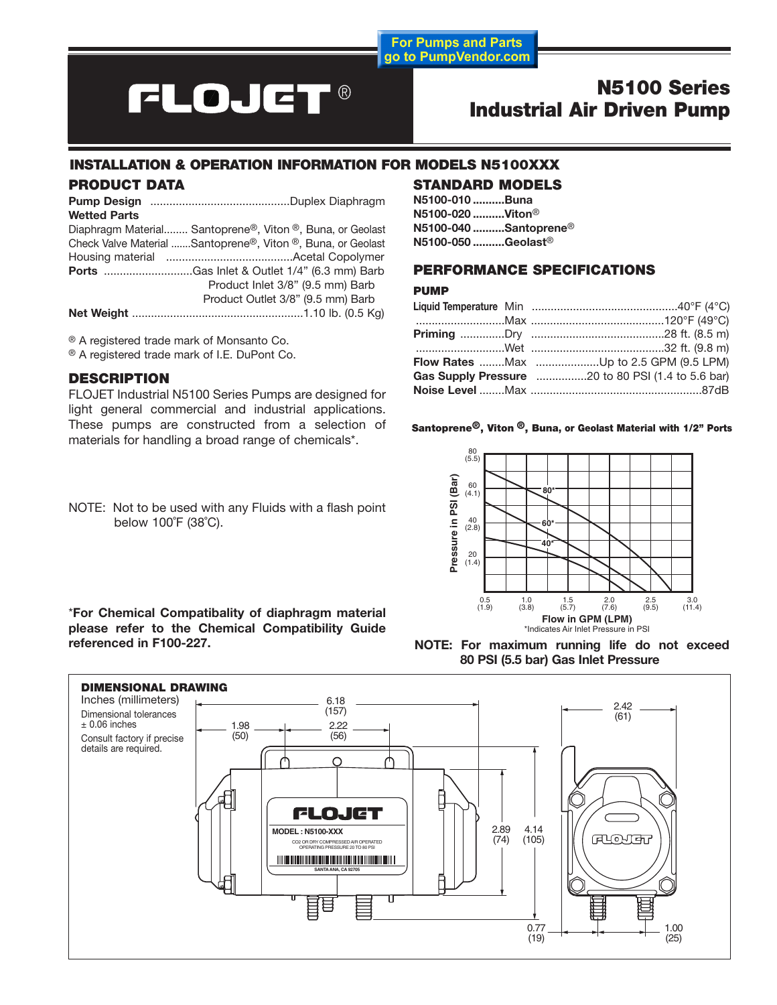**For Pumps and Parts** go to PumpVendor.com

# **FLOJET®**

# **N5100 Series Industrial Air Driven Pump**

# **INSTALLATION & OPERATION INFORMATION FOR MODELS N5100XXX**

#### **PRODUCT DATA**

**Pump Design** ............................................Duplex Diaphragm **Wetted Parts**

| Diaphragm Material Santoprene <sup>®</sup> , Viton <sup>®</sup> , Buna, or Geolast |
|------------------------------------------------------------------------------------|
| Check Valve Material Santoprene®, Viton ®, Buna, or Geolast                        |
|                                                                                    |
| <b>Ports</b> Gas Inlet & Outlet 1/4" (6.3 mm) Barb                                 |
| Product Inlet 3/8" (9.5 mm) Barb                                                   |
| Product Outlet 3/8" (9.5 mm) Barb                                                  |
|                                                                                    |

® A registered trade mark of Monsanto Co.

® A registered trade mark of I.E. DuPont Co.

# **DESCRIPTION**

FLOJET Industrial N5100 Series Pumps are designed for light general commercial and industrial applications. These pumps are constructed from a selection of materials for handling a broad range of chemicals\*.

NOTE: Not to be used with any Fluids with a flash point below 100˚F (38˚C).

#### \***For Chemical Compatibality of diaphragm material please refer to the Chemical Compatibility Guide referenced in F100-227.**

# **STANDARD MODELS**

**N5100-010 ..........Buna N5100-020 ..........Viton**® **N5100-040 ..........Santoprene**® **N5100-050 ..........Geolast**®

# **PERFORMANCE SPECIFICATIONS**

#### **PUMP**

|  | Flow Rates Max Up to 2.5 GPM (9.5 LPM) |
|--|----------------------------------------|
|  |                                        |
|  |                                        |

#### **Santoprene®, Viton ®, Buna, or Geolast Material with 1/2" Ports**



**NOTE: For maximum running life do not exceed 80 PSI (5.5 bar) Gas Inlet Pressure**

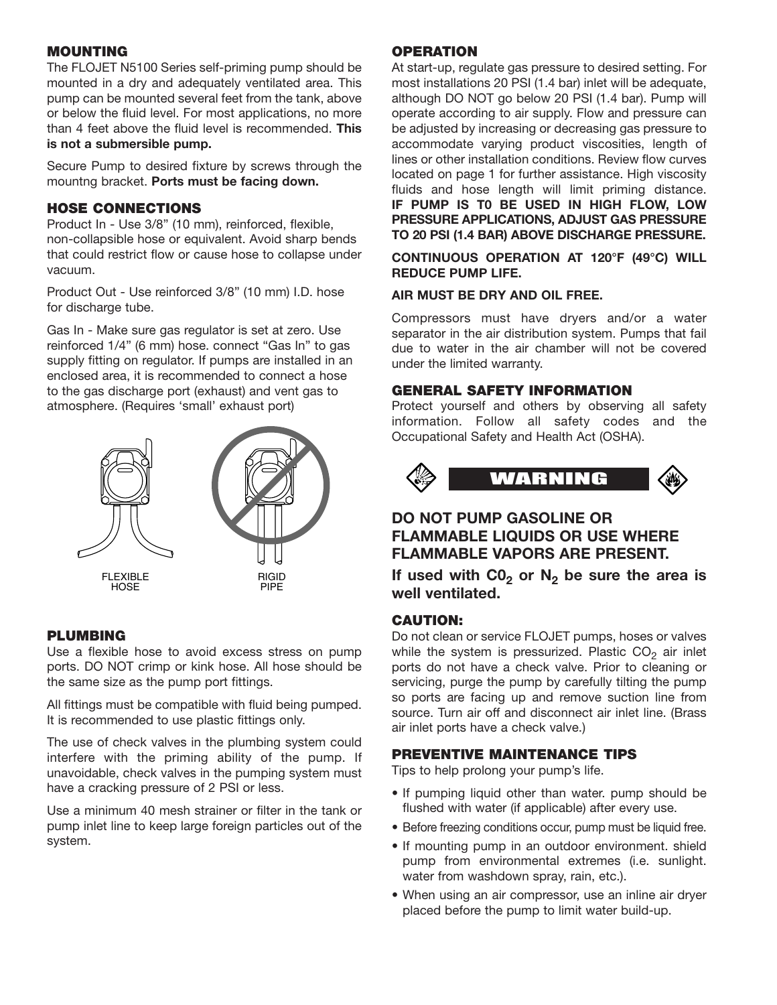# **MOUNTING**

The FLOJET N5100 Series self-priming pump should be mounted in a dry and adequately ventilated area. This pump can be mounted several feet from the tank, above or below the fluid level. For most applications, no more than 4 feet above the fluid level is recommended. **This is not a submersible pump.**

Secure Pump to desired fixture by screws through the mountng bracket. **Ports must be facing down.**

# **HOSE CONNECTIONS**

Product In - Use 3/8" (10 mm), reinforced, flexible, non-collapsible hose or equivalent. Avoid sharp bends that could restrict flow or cause hose to collapse under vacuum.

Product Out - Use reinforced 3/8" (10 mm) I.D. hose for discharge tube.

Gas In - Make sure gas regulator is set at zero. Use reinforced 1/4" (6 mm) hose. connect "Gas In" to gas supply fitting on regulator. If pumps are installed in an enclosed area, it is recommended to connect a hose to the gas discharge port (exhaust) and vent gas to atmosphere. (Requires 'small' exhaust port)



# **PLUMBING**

Use a flexible hose to avoid excess stress on pump ports. DO NOT crimp or kink hose. All hose should be the same size as the pump port fittings.

All fittings must be compatible with fluid being pumped. It is recommended to use plastic fittings only.

The use of check valves in the plumbing system could interfere with the priming ability of the pump. If unavoidable, check valves in the pumping system must have a cracking pressure of 2 PSI or less.

Use a minimum 40 mesh strainer or filter in the tank or pump inlet line to keep large foreign particles out of the system.

#### **OPERATION**

At start-up, regulate gas pressure to desired setting. For most installations 20 PSI (1.4 bar) inlet will be adequate, although DO NOT go below 20 PSI (1.4 bar). Pump will operate according to air supply. Flow and pressure can be adjusted by increasing or decreasing gas pressure to accommodate varying product viscosities, length of lines or other installation conditions. Review flow curves located on page 1 for further assistance. High viscosity fluids and hose length will limit priming distance. **IF PUMP IS T0 BE USED IN HIGH FLOW, LOW PRESSURE APPLICATIONS, ADJUST GAS PRESSURE TO 20 PSI (1.4 BAR) ABOVE DISCHARGE PRESSURE.**

**CONTINUOUS OPERATION AT 120°F (49°C) WILL REDUCE PUMP LIFE.**

#### **AIR MUST BE DRY AND OIL FREE.**

Compressors must have dryers and/or a water separator in the air distribution system. Pumps that fail due to water in the air chamber will not be covered under the limited warranty.

#### **GENERAL SAFETY INFORMATION**

Protect yourself and others by observing all safety information. Follow all safety codes and the Occupational Safety and Health Act (OSHA).



# **DO NOT PUMP GASOLINE OR FLAMMABLE LIQUIDS OR USE WHERE FLAMMABLE VAPORS ARE PRESENT.**

If used with  $CO<sub>2</sub>$  or  $N<sub>2</sub>$  be sure the area is **well ventilated.**

#### **CAUTION:**

Do not clean or service FLOJET pumps, hoses or valves while the system is pressurized. Plastic  $CO<sub>2</sub>$  air inlet ports do not have a check valve. Prior to cleaning or servicing, purge the pump by carefully tilting the pump so ports are facing up and remove suction line from source. Turn air off and disconnect air inlet line. (Brass air inlet ports have a check valve.)

#### **PREVENTIVE MAINTENANCE TIPS**

Tips to help prolong your pump's life.

- If pumping liquid other than water. pump should be flushed with water (if applicable) after every use.
- Before freezing conditions occur, pump must be liquid free.
- If mounting pump in an outdoor environment. shield pump from environmental extremes (i.e. sunlight. water from washdown spray, rain, etc.).
- When using an air compressor, use an inline air dryer placed before the pump to limit water build-up.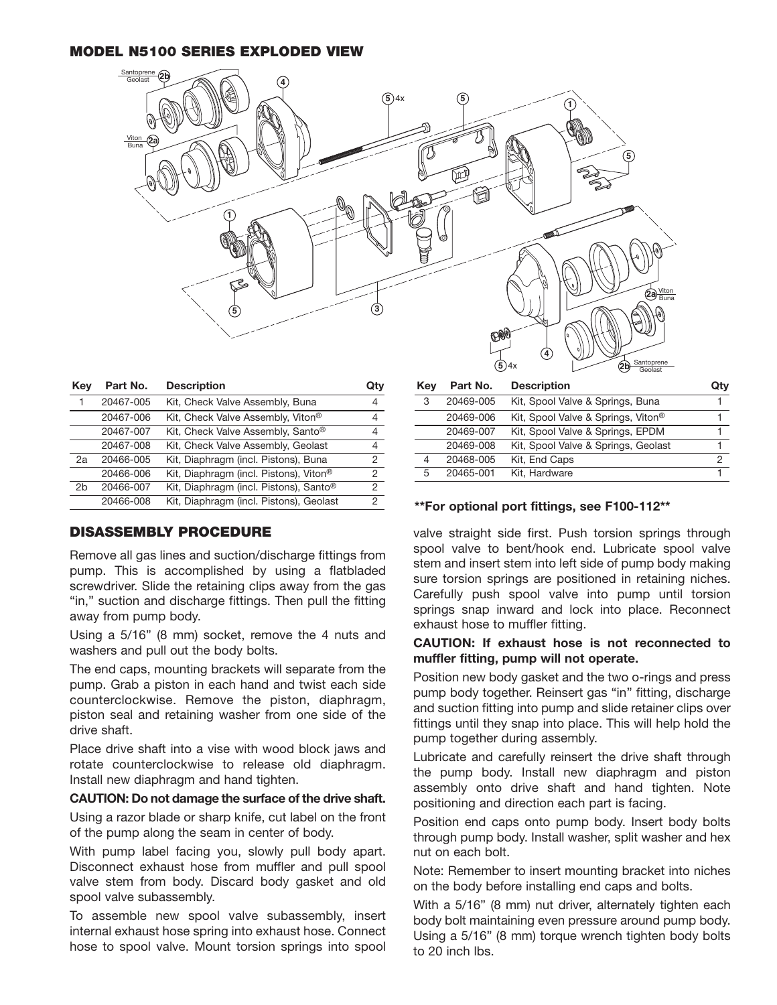#### **MODEL N5100 SERIES EXPLODED VIEW**



| Key | Part No.  | <b>Description</b>                                 | Qtv |
|-----|-----------|----------------------------------------------------|-----|
|     | 20467-005 | Kit, Check Valve Assembly, Buna                    | 4   |
|     | 20467-006 | Kit, Check Valve Assembly, Viton®                  | 4   |
|     | 20467-007 | Kit, Check Valve Assembly, Santo®                  | 4   |
|     | 20467-008 | Kit, Check Valve Assembly, Geolast                 | 4   |
| 2a  | 20466-005 | Kit, Diaphragm (incl. Pistons), Buna               | 2   |
|     | 20466-006 | Kit, Diaphragm (incl. Pistons), Viton <sup>®</sup> | 2   |
| 2h  | 20466-007 | Kit, Diaphragm (incl. Pistons), Santo <sup>®</sup> | 2   |
|     | 20466-008 | Kit, Diaphragm (incl. Pistons), Geolast            | 2   |
|     |           |                                                    |     |

# **DISASSEMBLY PROCEDURE**

Remove all gas lines and suction/discharge fittings from pump. This is accomplished by using a flatbladed screwdriver. Slide the retaining clips away from the gas "in," suction and discharge fittings. Then pull the fitting away from pump body.

Using a 5/16" (8 mm) socket, remove the 4 nuts and washers and pull out the body bolts.

The end caps, mounting brackets will separate from the pump. Grab a piston in each hand and twist each side counterclockwise. Remove the piston, diaphragm, piston seal and retaining washer from one side of the drive shaft.

Place drive shaft into a vise with wood block jaws and rotate counterclockwise to release old diaphragm. Install new diaphragm and hand tighten.

#### **CAUTION: Do not damage the surface of the drive shaft.**

Using a razor blade or sharp knife, cut label on the front of the pump along the seam in center of body.

With pump label facing you, slowly pull body apart. Disconnect exhaust hose from muffler and pull spool valve stem from body. Discard body gasket and old spool valve subassembly.

To assemble new spool valve subassembly, insert internal exhaust hose spring into exhaust hose. Connect hose to spool valve. Mount torsion springs into spool

| Kev | Part No.  | <b>Description</b>                  | Qtv |
|-----|-----------|-------------------------------------|-----|
| 3   | 20469-005 | Kit, Spool Valve & Springs, Buna    |     |
|     | 20469-006 | Kit, Spool Valve & Springs, Viton®  |     |
|     | 20469-007 | Kit, Spool Valve & Springs, EPDM    |     |
|     | 20469-008 | Kit, Spool Valve & Springs, Geolast |     |
| 4   | 20468-005 | Kit, End Caps                       | 2   |
| 5   | 20465-001 | Kit, Hardware                       |     |

#### **\*\*For optional port fittings, see F100-112\*\***

valve straight side first. Push torsion springs through spool valve to bent/hook end. Lubricate spool valve stem and insert stem into left side of pump body making sure torsion springs are positioned in retaining niches. Carefully push spool valve into pump until torsion springs snap inward and lock into place. Reconnect exhaust hose to muffler fitting.

#### **CAUTION: If exhaust hose is not reconnected to muffler fitting, pump will not operate.**

Position new body gasket and the two o-rings and press pump body together. Reinsert gas "in'' fitting, discharge and suction fitting into pump and slide retainer clips over fittings until they snap into place. This will help hold the pump together during assembly.

Lubricate and carefully reinsert the drive shaft through the pump body. Install new diaphragm and piston assembly onto drive shaft and hand tighten. Note positioning and direction each part is facing.

Position end caps onto pump body. Insert body bolts through pump body. Install washer, split washer and hex nut on each bolt.

Note: Remember to insert mounting bracket into niches on the body before installing end caps and bolts.

With a 5/16" (8 mm) nut driver, alternately tighten each body bolt maintaining even pressure around pump body. Using a 5/16" (8 mm) torque wrench tighten body bolts to 20 inch lbs.